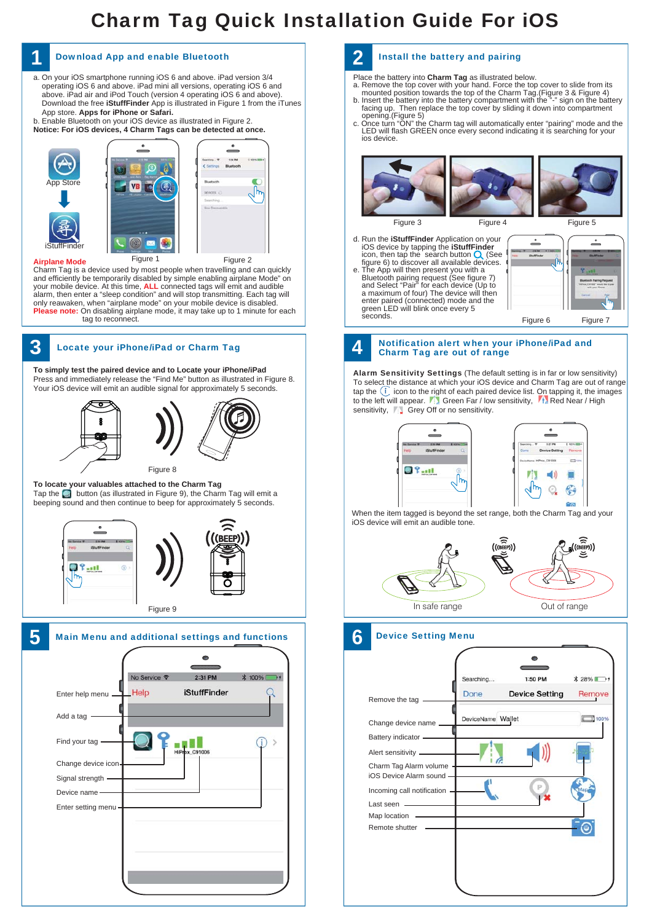# Charm Tag Quick Installation Guide For iOS



a. On your iOS smartphone running iOS 6 and above. iPad version 3/4 operating iOS 6 and above. iPad mini all versions, operating iOS 6 and

#### **1 2** Download App and enable Bluetooth Install the battery and pairing

Place the battery into **Charm Tag** as illustrated below.

- 
- a. Remove the top cover with your hand. Force the top cover to slide from its<br>mounted position towards the top of the Charm Tag. (Figure 3 & Figure 4)<br>b. Insert the battery into the battery compartment with the  $\frac{n}{n}$  s
- LED will flash GREEN once every second indicating it is searching for your ios device.



d. Run the **iStuffFinder** Application on your<br>iOS device by tapping the **iStuffFinder**<br>icon, then tap the search button (See<br>figure 6) to discover all available devices. e. The App will then present you with a Bluetooth pairing request (See figure 7)<br>and Select "Pair" for each device (Up to<br>a maximum of four) The device will then<br>enter paired (connected) mode and the<br>green LED will blink once every 5<br>seconds.



### Notification alert when your iPhone/iPad and Charm Tag are out of range

Alarm Sensitivity Settings (The default setting is in far or low sensitivity) To select the distance at which your iOS device and Charm Tag are out of range tap the  $(i)$  icon to the right of each paired device list. On tapping it, the images to the left will appear. Fix Green Far / low sensitivity, Fix Red Near / High sensitivity, Grey Off or no sensitivity.



When the item tagged is beyond the set range, both the Charm Tag and your iOS device will emit an audible tone.



### Device Setting Menu